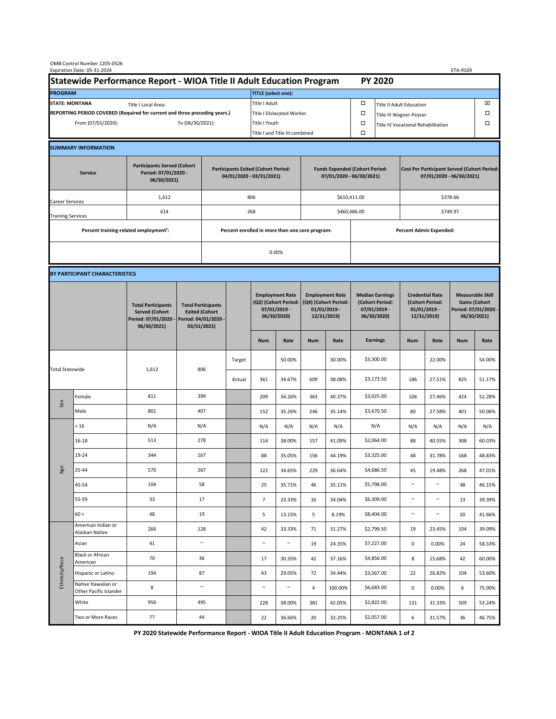| OMB Control Number 1205-0526<br>Expiration Date: 05-31-2024<br>ETA-9169                     |                                                    |                                                                                           |                                                                                           |                                                                        |                           |                                                                                 |               |                                                                                 |                                |                                                                            |                                                                                |                                                                            |        |                                                                                        |        |  |
|---------------------------------------------------------------------------------------------|----------------------------------------------------|-------------------------------------------------------------------------------------------|-------------------------------------------------------------------------------------------|------------------------------------------------------------------------|---------------------------|---------------------------------------------------------------------------------|---------------|---------------------------------------------------------------------------------|--------------------------------|----------------------------------------------------------------------------|--------------------------------------------------------------------------------|----------------------------------------------------------------------------|--------|----------------------------------------------------------------------------------------|--------|--|
| Statewide Performance Report - WIOA Title II Adult Education Program                        |                                                    |                                                                                           |                                                                                           |                                                                        |                           | <b>PY 2020</b>                                                                  |               |                                                                                 |                                |                                                                            |                                                                                |                                                                            |        |                                                                                        |        |  |
| <b>PROGRAM</b>                                                                              |                                                    |                                                                                           |                                                                                           |                                                                        |                           | <b>TITLE</b> (select one):                                                      |               |                                                                                 |                                |                                                                            |                                                                                |                                                                            |        |                                                                                        |        |  |
| <b>STATE: MONTANA</b><br>Title I Local Area:                                                |                                                    |                                                                                           |                                                                                           |                                                                        |                           | Title I Adult                                                                   |               |                                                                                 |                                | □<br><b>Title II Adult Education</b>                                       |                                                                                |                                                                            |        |                                                                                        | ⊠      |  |
| REPORTING PERIOD COVERED (Required for current and three preceding years.)                  |                                                    |                                                                                           |                                                                                           |                                                                        | Title I Dislocated Worker |                                                                                 |               |                                                                                 |                                | Ω                                                                          |                                                                                | Title III Wagner-Peyser                                                    |        |                                                                                        | □      |  |
| From (07/01/2020):                                                                          |                                                    |                                                                                           |                                                                                           | To (06/30/2021):                                                       |                           |                                                                                 | Title I Youth |                                                                                 |                                | $\Box$                                                                     | Title IV Vocational Rehabilitation                                             |                                                                            |        | □                                                                                      |        |  |
|                                                                                             |                                                    |                                                                                           |                                                                                           |                                                                        |                           | Title I and Title III combined                                                  |               |                                                                                 |                                | Ω                                                                          |                                                                                |                                                                            |        |                                                                                        |        |  |
|                                                                                             | <b>SUMMARY INFORMATION</b>                         |                                                                                           |                                                                                           |                                                                        |                           |                                                                                 |               |                                                                                 |                                |                                                                            |                                                                                |                                                                            |        |                                                                                        |        |  |
| <b>Participants Served (Cohort</b><br>Period: 07/01/2020 -<br><b>Service</b><br>06/30/2021) |                                                    |                                                                                           |                                                                                           | <b>Participants Exited (Cohort Period:</b><br>04/01/2020 - 03/31/2021) |                           |                                                                                 |               | <b>Funds Expended (Cohort Period:</b><br>07/01/2020 - 06/30/2021)               |                                |                                                                            | <b>Cost Per Participant Served (Cohort Period:</b><br>07/01/2020 - 06/30/2021) |                                                                            |        |                                                                                        |        |  |
| Career Services                                                                             |                                                    | 1,612                                                                                     |                                                                                           |                                                                        |                           | 806                                                                             |               |                                                                                 |                                | \$610,411.00                                                               |                                                                                | \$378.66                                                                   |        |                                                                                        |        |  |
| <b>Training Services</b>                                                                    |                                                    | 614                                                                                       |                                                                                           | 268                                                                    |                           |                                                                                 |               |                                                                                 |                                | \$460,486.00                                                               |                                                                                | \$749.97                                                                   |        |                                                                                        |        |  |
|                                                                                             | Percent training-related employment <sup>1</sup> : |                                                                                           | Percent enrolled in more than one core program:                                           |                                                                        |                           |                                                                                 |               |                                                                                 | <b>Percent Admin Expended:</b> |                                                                            |                                                                                |                                                                            |        |                                                                                        |        |  |
|                                                                                             |                                                    |                                                                                           |                                                                                           |                                                                        |                           |                                                                                 |               |                                                                                 |                                |                                                                            |                                                                                |                                                                            |        |                                                                                        |        |  |
|                                                                                             |                                                    |                                                                                           | 0.00%                                                                                     |                                                                        |                           |                                                                                 |               |                                                                                 |                                |                                                                            |                                                                                |                                                                            |        |                                                                                        |        |  |
|                                                                                             | BY PARTICIPANT CHARACTERISTICS                     |                                                                                           |                                                                                           |                                                                        |                           |                                                                                 |               |                                                                                 |                                |                                                                            |                                                                                |                                                                            |        |                                                                                        |        |  |
|                                                                                             |                                                    | <b>Total Participants</b><br><b>Served (Cohort</b><br>Period: 07/01/2020 -<br>06/30/2021) | <b>Total Participants</b><br><b>Exited (Cohort</b><br>Period: 04/01/2020 -<br>03/31/2021) |                                                                        |                           | <b>Employment Rate</b><br>(Q2) (Cohort Period:<br>$07/01/2019$ -<br>06/30/2020) |               | <b>Employment Rate</b><br>(Q4) (Cohort Period:<br>$01/01/2019$ -<br>12/31/2019) |                                | <b>Median Earnings</b><br>(Cohort Period:<br>$07/01/2019 -$<br>06/30/2020) |                                                                                | <b>Credential Rate</b><br>(Cohort Period:<br>$01/01/2019$ -<br>12/31/2019) |        | <b>Measurable Skill</b><br><b>Gains (Cohort</b><br>Period: 07/01/2020 -<br>06/30/2021) |        |  |
|                                                                                             |                                                    |                                                                                           |                                                                                           |                                                                        |                           | <b>Num</b>                                                                      | Rate          | <b>Num</b>                                                                      | Rate                           |                                                                            | <b>Earnings</b>                                                                | <b>Num</b>                                                                 | Rate   | <b>Num</b>                                                                             | Rate   |  |
| <b>Total Statewide</b>                                                                      |                                                    | 1,612                                                                                     | 806                                                                                       |                                                                        | Target                    |                                                                                 | 50.00%        |                                                                                 | 30.00%                         |                                                                            | \$3,300.00                                                                     |                                                                            | 22.00% |                                                                                        | 54.00% |  |
|                                                                                             |                                                    |                                                                                           |                                                                                           |                                                                        | Actual                    | 361                                                                             | 34.67%        | 609                                                                             | 38.08%                         |                                                                            | \$3,173.50                                                                     | 186                                                                        | 27.51% | 825                                                                                    | 51.17% |  |
| Sex                                                                                         | Female                                             | 811                                                                                       | 399                                                                                       |                                                                        |                           | 209                                                                             | 34.26%        | 363                                                                             | 40.37%                         |                                                                            | \$3,025.00                                                                     | 106                                                                        | 27.46% | 424                                                                                    | 52.28% |  |
|                                                                                             | Male                                               | 801                                                                                       | 407                                                                                       |                                                                        |                           | 152                                                                             | 35.26%        | 246                                                                             | 35.14%                         |                                                                            | \$3,670.50                                                                     | 80                                                                         | 27.58% | 401                                                                                    | 50.06% |  |
| Age                                                                                         | < 16                                               | N/A                                                                                       | N/A                                                                                       |                                                                        |                           | N/A                                                                             | N/A           | N/A                                                                             | N/A                            |                                                                            | N/A                                                                            | N/A                                                                        | N/A    | N/A                                                                                    | N/A    |  |
|                                                                                             | $16 - 18$                                          | 513                                                                                       | 278                                                                                       |                                                                        |                           | 114                                                                             | 38.00%        | 157                                                                             | 41.09%                         |                                                                            | \$2,064.00                                                                     | 88                                                                         | 40.55% | 308                                                                                    | 60.03% |  |
|                                                                                             | 19-24                                              | 344                                                                                       | 167                                                                                       |                                                                        |                           | 88                                                                              | 35.05%        | 156                                                                             | 44.19%                         |                                                                            | \$3,325.00                                                                     | 48                                                                         | 31.78% | 168                                                                                    | 48.83% |  |
|                                                                                             | 25-44                                              | 570                                                                                       | 267                                                                                       |                                                                        |                           | 122                                                                             | 34.65%        | 229                                                                             | 36.64%                         |                                                                            | \$4,686.50                                                                     | 45                                                                         | 19.48% | 268                                                                                    | 47.01% |  |
|                                                                                             | 45-54                                              | 104                                                                                       | 58                                                                                        |                                                                        |                           | 25                                                                              | 35.71%        | 46                                                                              | 35.11%                         |                                                                            | \$5,798.00                                                                     | $\sim$                                                                     | $\sim$ | 48                                                                                     | 46.15% |  |
|                                                                                             | 55-59                                              | 33                                                                                        | 17                                                                                        |                                                                        |                           | $\overline{7}$                                                                  | 23.33%        | 16                                                                              | 34.04%                         |                                                                            | \$6,309.00                                                                     | $\sim$                                                                     | $\sim$ | 13                                                                                     | 39.39% |  |
|                                                                                             | $60 +$                                             | 48                                                                                        | 19                                                                                        |                                                                        |                           | 5                                                                               | 13.15%        | 5                                                                               | 8.19%                          |                                                                            | \$8,404.00                                                                     | $\sim$                                                                     | $\sim$ | 20                                                                                     | 41.66% |  |
| Ethnicity/Race                                                                              | American Indian or<br>Alaskan Native               | 266                                                                                       | 128                                                                                       |                                                                        |                           | 42                                                                              | 33.33%        | 71                                                                              | 31.27%                         |                                                                            | \$2,799.50                                                                     | 19                                                                         | 23.45% | 104                                                                                    | 39.09% |  |
|                                                                                             | Asian                                              | 41                                                                                        | $\sim$                                                                                    |                                                                        |                           | $\sim$                                                                          | $\sim$        | 19                                                                              | 24.35%                         |                                                                            | \$7,227.00                                                                     | 0                                                                          | 0.00%  | 24                                                                                     | 58.53% |  |
|                                                                                             | Black or African<br>American                       | 70                                                                                        | 36                                                                                        |                                                                        |                           | 17                                                                              | 30.35%        | 42                                                                              | 37.16%                         |                                                                            | \$4,856.00                                                                     | 8                                                                          | 15.68% | 42                                                                                     | 60.00% |  |
|                                                                                             | Hispanic or Latino                                 | 194                                                                                       | 87                                                                                        |                                                                        |                           | 43                                                                              | 29.05%        | 72                                                                              | 34.44%                         |                                                                            | \$3,567.00                                                                     | 22                                                                         | 26.82% | 104                                                                                    | 53.60% |  |
|                                                                                             | Native Hawaiian or<br>Other Pacific Islander       | 8                                                                                         | $\sim$                                                                                    |                                                                        |                           | $\sim$                                                                          | $\sim$        | 4                                                                               | 100.00%                        |                                                                            | \$6,683.00                                                                     | $\mathbf 0$                                                                | 0.00%  | 6                                                                                      | 75.00% |  |
|                                                                                             | White                                              | 956                                                                                       | 495                                                                                       |                                                                        |                           | 228                                                                             | 38.00%        | 381                                                                             | 42.05%                         |                                                                            | \$2,822.00                                                                     | 131                                                                        | 31.33% | 509                                                                                    | 53.24% |  |
|                                                                                             | Two or More Races                                  | 77                                                                                        | 44                                                                                        |                                                                        |                           | 22                                                                              | 36.66%        | 20                                                                              | 32.25%                         |                                                                            | \$2,057.00                                                                     | $\boldsymbol{6}$                                                           | 31.57% | 36                                                                                     | 46.75% |  |

**PY 2020 Statewide Performance Report - WIOA Title II Adult Education Program - MONTANA 1 of 2**